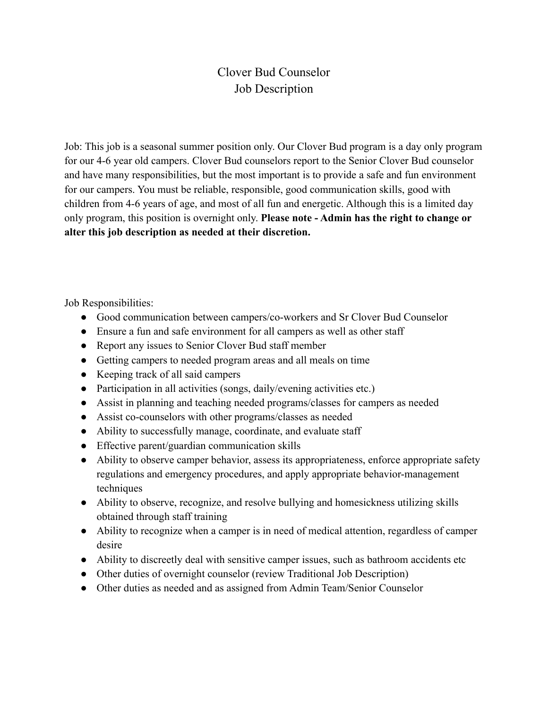## Clover Bud Counselor Job Description

Job: This job is a seasonal summer position only. Our Clover Bud program is a day only program for our 4-6 year old campers. Clover Bud counselors report to the Senior Clover Bud counselor and have many responsibilities, but the most important is to provide a safe and fun environment for our campers. You must be reliable, responsible, good communication skills, good with children from 4-6 years of age, and most of all fun and energetic. Although this is a limited day only program, this position is overnight only. **Please note - Admin has the right to change or alter this job description as needed at their discretion.**

Job Responsibilities:

- Good communication between campers/co-workers and Sr Clover Bud Counselor
- Ensure a fun and safe environment for all campers as well as other staff
- Report any issues to Senior Clover Bud staff member
- Getting campers to needed program areas and all meals on time
- Keeping track of all said campers
- Participation in all activities (songs, daily/evening activities etc.)
- Assist in planning and teaching needed programs/classes for campers as needed
- Assist co-counselors with other programs/classes as needed
- Ability to successfully manage, coordinate, and evaluate staff
- Effective parent/guardian communication skills
- Ability to observe camper behavior, assess its appropriateness, enforce appropriate safety regulations and emergency procedures, and apply appropriate behavior-management techniques
- Ability to observe, recognize, and resolve bullying and homesickness utilizing skills obtained through staff training
- Ability to recognize when a camper is in need of medical attention, regardless of camper desire
- Ability to discreetly deal with sensitive camper issues, such as bathroom accidents etc
- Other duties of overnight counselor (review Traditional Job Description)
- Other duties as needed and as assigned from Admin Team/Senior Counselor